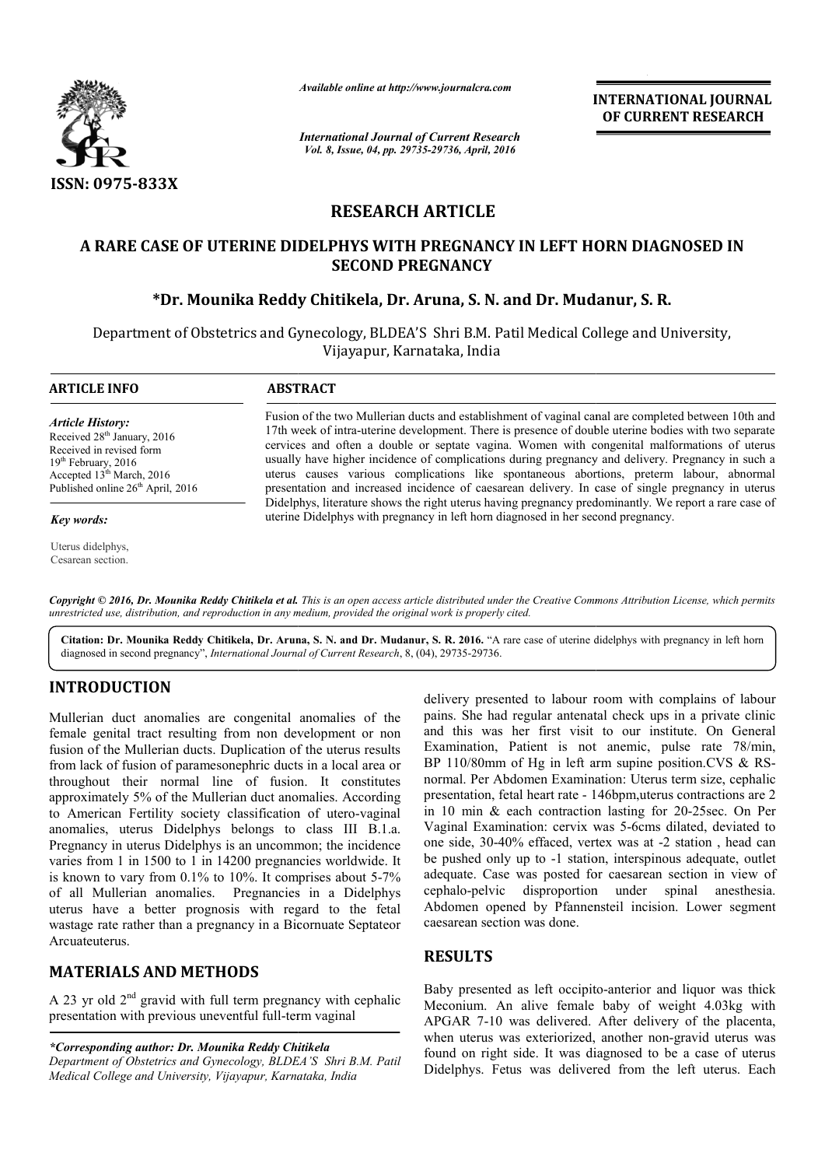

*Available online at http://www.journalcra.com*

*International Journal of Current Research Vol. 8, Issue, 04, pp. 29735-29736, April, 2016*

**INTERNATIONAL JOURNAL OF CURRENT RESEARCH** 

# **RESEARCH ARTICLE**

# **A RARE CASE OF UTERINE DIDELPHYS WITH PREGNANCY IN LEFT HORN DIAGNOSED IN**  RARE CASE OF UTERINE DIDELPHYS WITH PREGNANCY IN LEFT HORN DIAG<br>SECOND PREGNANCY<br>Pr. Mounika Reddy Chitikela, Dr. Aruna, S. N. and Dr. Mudanur, S. R.\* **SECOND PREGNANCY**

Department of Obstetrics and Gynecology, BLDEA'S Shri B.M. Patil Medical College and University, Vijayapur, Karnataka, India

| <b>ARTICLE INFO</b>                                                                                                                                                                                      | <b>ABSTRACT</b>                                                                                                                                                                                                                                                                                                                                                                                                                                                                                                                                                                                                                                                                                                                                                                                                |
|----------------------------------------------------------------------------------------------------------------------------------------------------------------------------------------------------------|----------------------------------------------------------------------------------------------------------------------------------------------------------------------------------------------------------------------------------------------------------------------------------------------------------------------------------------------------------------------------------------------------------------------------------------------------------------------------------------------------------------------------------------------------------------------------------------------------------------------------------------------------------------------------------------------------------------------------------------------------------------------------------------------------------------|
| <b>Article History:</b><br>Received 28 <sup>th</sup> January, 2016<br>Received in revised form<br>$19th$ February, 2016<br>Accepted $13th March$ , 2016<br>Published online 26 <sup>th</sup> April, 2016 | Fusion of the two Mullerian ducts and establishment of vaginal canal are completed between 10th and<br>17th week of intra-uterine development. There is presence of double uterine bodies with two separate<br>cervices and often a double or septate vagina. Women with congenital malformations of uterus<br>usually have higher incidence of complications during pregnancy and delivery. Pregnancy in such a<br>uterus causes various complications like spontaneous abortions, preterm labour, abnormal<br>presentation and increased incidence of caesarean delivery. In case of single pregnancy in uterus<br>Didelphys, literature shows the right uterus having pregnancy predominantly. We report a rare case of<br>uterine Didelphys with pregnancy in left horn diagnosed in her second pregnancy. |
| Key words:                                                                                                                                                                                               |                                                                                                                                                                                                                                                                                                                                                                                                                                                                                                                                                                                                                                                                                                                                                                                                                |
| Uterus didelphys.                                                                                                                                                                                        |                                                                                                                                                                                                                                                                                                                                                                                                                                                                                                                                                                                                                                                                                                                                                                                                                |

Copyright © 2016, Dr. Mounika Reddy Chitikela et al. This is an open access article distributed under the Creative Commons Attribution License, which permits *unrestricted use, distribution, and reproduction in any medium, provided the original work is properly cited.*

Citation: Dr. Mounika Reddy Chitikela, Dr. Aruna, S. N. and Dr. Mudanur, S. R. 2016. "A rare case of uterine didelphys with pregnancy in left horn diagnosed in second pregnancy", *International Journal of Current Research*, 8, (04), 29735-29736.

### **INTRODUCTION**

Cesarean section.

Mullerian duct anomalies are congenital anomalies of the female genital tract resulting from non development or non fusion of the Mullerian ducts. Duplication of the uterus results from lack of fusion of paramesonephric ducts in a local area or throughout their normal line of fusion. It constitutes approximately 5% of the Mullerian duct anomalies. According to American Fertility society classification of utero-vaginal anomalies, uterus Didelphys belongs to class III B.1.a. Pregnancy in uterus Didelphys is an uncommon; the incidence varies from 1 in 1500 to 1 in 14200 pregnancies worldwide. It is known to vary from 0.1% to 10%. It comprises about 5 5-7% of all Mullerian anomalies. Pregnancies in a Didelphys uterus have a better prognosis with regard to the fetal wastage rate rather than a pregnancy in a Bicornuate Septateor Arcuateuterus.

## **MATERIALS AND METHODS**

A 23 yr old  $2<sup>nd</sup>$  gravid with full term pregnancy with cephalic A 23 yr old  $2^{na}$  gravid with full term pregnancy with presentation with previous uneventful full-term vaginal

*\*Corresponding author: Dr. Mounika Reddy Chitikela Department of Obstetrics and Gynecology, BLDEA'S Shri B.M. Patil Medical College and University, Vijayapur, Karnataka, India*

delivery presented to labour room with complains of labour pains. She had regular antenatal check ups in a private clinic delivery presented to labour room with complains of labour<br>pains. She had regular antenatal check ups in a private clinic<br>and this was her first visit to our institute. On General Examination, Patient is not anemic, pulse rate 78/min, BP 110/80mm of Hg in left arm supine position.CVS  $&$  RSnormal. Per Abdomen Examination: Examination: Uterus term size, cephalic presentation, fetal heart rate - 146bpm,uterus contractions are 2 in 10 min  $&$  each contraction lasting for 20-25 sec. On Per Vaginal Examination: cervix was 5 5-6cms dilated, deviated to one side, 30-40% effaced, vertex was at -2 station, head can be pushed only up to -1 station, interspinous adequate, outlet adequate. Case was posted for caesarean section in view of cephalo-pelvic disproportion under spinal anesthesia. Abdomen opened by Pfannensteil incision. Lower segment caesarean section was done. 1 Case was posted for caesarean section in view of<br>
1 Case was posted for caesarean section in view of<br>
1 Caesarean section under spinal anesthesia.<br>
1 Caesareant section was done.<br>
1 Caesareant Section was thick<br>
1 Caesar INTERNATIONAL JOURNAL<br>
Search<br>
Corresponds to the CURRENT RESEARCH<br>
Theorem is a search to the current of the signal conduction<br>
Theorem is a search side of the signal conductions of variable signal<br>
MeV IN LEFT HORN DIAGN

### **RESULTS**

Baby presented as left occipito-anterior and liquor was thick Meconium. An alive female baby of weight 4.03kg with APGAR 7-10 was delivered. After delivery of the placenta, Meconium. An alive female baby of weight 4.03kg with APGAR 7-10 was delivered. After delivery of the placenta, when uterus was exteriorized, another non-gravid uterus was found on right side. It was diagnosed to be a case of uterus Didelphys. Fetus was delivered from the left uterus. Each